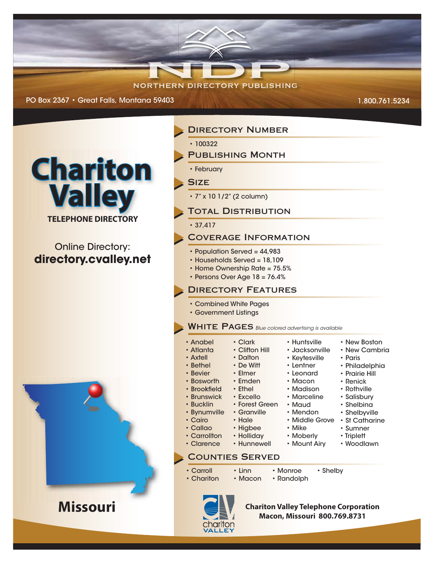## **NORTHERN DIRECTORY PUBLISHING**

PO Box 2367 • Great Falls, Montana 59403